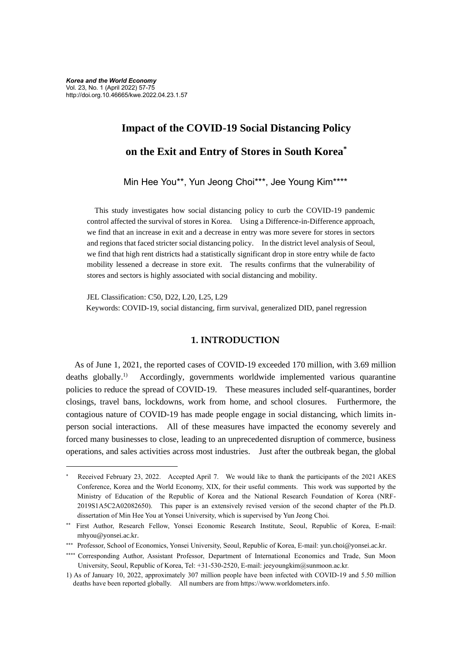# **Impact of the COVID-19 Social Distancing Policy on the Exit and Entry of Stores in South Korea\***

Min Hee You\*\*, Yun Jeong Choi\*\*\*, Jee Young Kim\*\*\*\*

This study investigates how social distancing policy to curb the COVID-19 pandemic control affected the survival of stores in Korea. Using a Difference-in-Difference approach, we find that an increase in exit and a decrease in entry was more severe for stores in sectors and regions that faced stricter social distancing policy. In the district level analysis of Seoul, we find that high rent districts had a statistically significant drop in store entry while de facto mobility lessened a decrease in store exit. The results confirms that the vulnerability of stores and sectors is highly associated with social distancing and mobility.

JEL Classification: C50, D22, L20, L25, L29 Keywords: COVID-19, social distancing, firm survival, generalized DID, panel regression

## **1. INTRODUCTION**

As of June 1, 2021, the reported cases of COVID-19 exceeded 170 million, with 3.69 million deaths globally. $^{1)}$ 1) Accordingly, governments worldwide implemented various quarantine policies to reduce the spread of COVID-19. These measures included self-quarantines, border closings, travel bans, lockdowns, work from home, and school closures. Furthermore, the contagious nature of COVID-19 has made people engage in social distancing, which limits inperson social interactions. All of these measures have impacted the economy severely and forced many businesses to close, leading to an unprecedented disruption of commerce, business operations, and sales activities across most industries. Just after the outbreak began, the global

Received February 23, 2022. Accepted April 7. We would like to thank the participants of the 2021 AKES Conference, Korea and the World Economy, XIX, for their useful comments. This work was supported by the Ministry of Education of the Republic of Korea and the National Research Foundation of Korea (NRF-2019S1A5C2A02082650). This paper is an extensively revised version of the second chapter of the Ph.D. dissertation of Min Hee You at Yonsei University, which is supervised by Yun Jeong Choi.

First Author, Research Fellow, Yonsei Economic Research Institute, Seoul, Republic of Korea, E-mail: mhyou@yonsei.ac.kr.

<sup>\*\*\*</sup> Professor, School of Economics, Yonsei University, Seoul, Republic of Korea, E-mail: yun.choi@yonsei.ac.kr.

<sup>\*\*\*\*</sup> Corresponding Author, Assistant Professor, Department of International Economics and Trade, Sun Moon University, Seoul, Republic of Korea, Tel: +31-530-2520, E-mail: jeeyoungkim@sunmoon.ac.kr.

<sup>1)</sup> As of January 10, 2022, approximately 307 million people have been infected with COVID-19 and 5.50 million deaths have been reported globally. All numbers are from https://www.worldometers.info.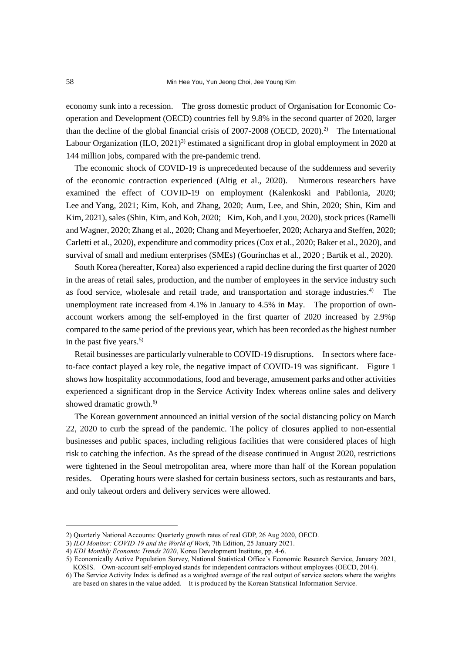economy sunk into a recession. The gross domestic product of Organisation for Economic Cooperation and Development (OECD) countries fell by 9.8% in the second quarter of 2020, larger than the decline of the global financial crisis of 2007-2008 (OECD, 2020).2) The International Labour Organization (ILO,  $2021$ )<sup>3)</sup> estimated a significant drop in global employment in 2020 at 144 million jobs, compared with the pre-pandemic trend.

The economic shock of COVID-19 is unprecedented because of the suddenness and severity of the economic contraction experienced (Altig et al., 2020). Numerous researchers have examined the effect of COVID-19 on employment (Kalenkoski and Pabilonia, 2020; Lee and Yang, 2021; Kim, Koh, and Zhang, 2020; Aum, Lee, and Shin, 2020; Shin, Kim and Kim, 2021), sales (Shin, Kim, and Koh, 2020; Kim, Koh, and Lyou, 2020), stock prices (Ramelli and Wagner, 2020; Zhang et al., 2020; Chang and Meyerhoefer, 2020; Acharya and Steffen, 2020; Carletti et al., 2020), expenditure and commodity prices (Cox et al., 2020; Baker et al., 2020), and survival of small and medium enterprises (SMEs) (Gourinchas et al., 2020 ; Bartik et al., 2020).

South Korea (hereafter, Korea) also experienced a rapid decline during the first quarter of 2020 in the areas of retail sales, production, and the number of employees in the service industry such as food service, wholesale and retail trade, and transportation and storage industries.<sup>4)</sup> The unemployment rate increased from 4.1% in January to 4.5% in May. The proportion of ownaccount workers among the self-employed in the first quarter of 2020 increased by 2.9%p compared to the same period of the previous year, which has been recorded as the highest number in the past five years.<sup>5)</sup>

Retail businesses are particularly vulnerable to COVID-19 disruptions. In sectors where faceto-face contact played a key role, the negative impact of COVID-19 was significant. Figure 1 shows how hospitality accommodations, food and beverage, amusement parks and other activities experienced a significant drop in the Service Activity Index whereas online sales and delivery showed dramatic growth.<sup>6)</sup>

The Korean government announced an initial version of the social distancing policy on March 22, 2020 to curb the spread of the pandemic. The policy of closures applied to non-essential businesses and public spaces, including religious facilities that were considered places of high risk to catching the infection. As the spread of the disease continued in August 2020, restrictions were tightened in the Seoul metropolitan area, where more than half of the Korean population resides. Operating hours were slashed for certain business sectors, such as restaurants and bars, and only takeout orders and delivery services were allowed.

<sup>2)</sup> Quarterly National Accounts: Quarterly growth rates of real GDP, 26 Aug 2020, OECD.

<sup>3)</sup> *ILO Monitor: COVID-19 and the World of Work*, 7th Edition, 25 January 2021.

<sup>4)</sup> *KDI Monthly Economic Trends 2020*, Korea Development Institute, pp. 4-6.

<sup>5)</sup> Economically Active Population Survey, National Statistical Office's Economic Research Service, January 2021, KOSIS. Own-account self-employed stands for independent contractors without employees (OECD, 2014).

<sup>6)</sup> The Service Activity Index is defined as a weighted average of the real output of service sectors where the weights are based on shares in the value added. It is produced by the Korean Statistical Information Service.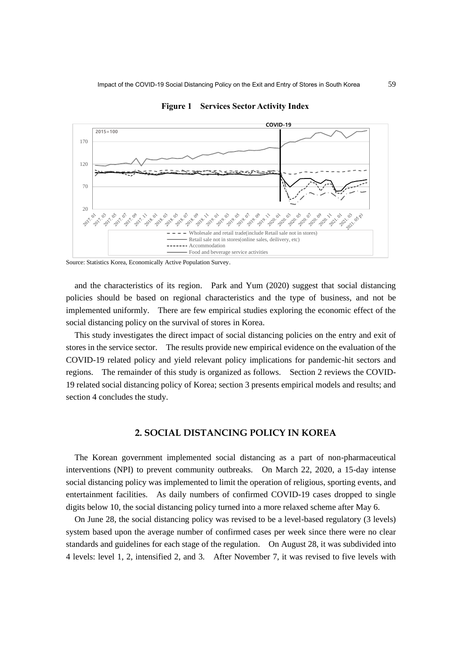

**Figure 1 Services Sector Activity Index**

Source: Statistics Korea, Economically Active Population Survey.

and the characteristics of its region. Park and Yum (2020) suggest that social distancing policies should be based on regional characteristics and the type of business, and not be implemented uniformly. There are few empirical studies exploring the economic effect of the social distancing policy on the survival of stores in Korea.

This study investigates the direct impact of social distancing policies on the entry and exit of stores in the service sector. The results provide new empirical evidence on the evaluation of the COVID-19 related policy and yield relevant policy implications for pandemic-hit sectors and regions. The remainder of this study is organized as follows. Section 2 reviews the COVID-19 related social distancing policy of Korea; section 3 presents empirical models and results; and section 4 concludes the study.

# **2. SOCIAL DISTANCING POLICY IN KOREA**

The Korean government implemented social distancing as a part of non-pharmaceutical interventions (NPI) to prevent community outbreaks. On March 22, 2020, a 15-day intense social distancing policy was implemented to limit the operation of religious, sporting events, and entertainment facilities. As daily numbers of confirmed COVID-19 cases dropped to single digits below 10, the social distancing policy turned into a more relaxed scheme after May 6.

On June 28, the social distancing policy was revised to be a level-based regulatory (3 levels) system based upon the average number of confirmed cases per week since there were no clear standards and guidelines for each stage of the regulation. On August 28, it was subdivided into 4 levels: level 1, 2, intensified 2, and 3. After November 7, it was revised to five levels with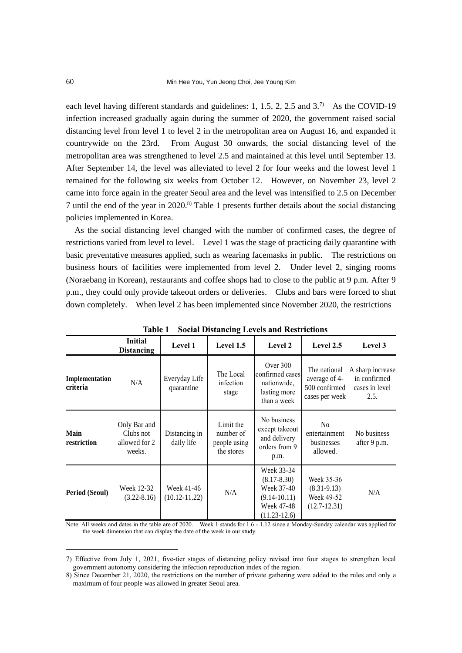each level having different standards and guidelines:  $1, 1.5, 2, 2.5$  and  $3.7$ <sup>3</sup> As the COVID-19 infection increased gradually again during the summer of 2020, the government raised social distancing level from level 1 to level 2 in the metropolitan area on August 16, and expanded it countrywide on the 23rd. From August 30 onwards, the social distancing level of the metropolitan area was strengthened to level 2.5 and maintained at this level until September 13. After September 14, the level was alleviated to level 2 for four weeks and the lowest level 1 remained for the following six weeks from October 12. However, on November 23, level 2 came into force again in the greater Seoul area and the level was intensified to 2.5 on December 7 until the end of the year in 2020. 8) Table 1 presents further details about the social distancing policies implemented in Korea.

As the social distancing level changed with the number of confirmed cases, the degree of restrictions varied from level to level. Level 1 was the stage of practicing daily quarantine with basic preventative measures applied, such as wearing facemasks in public. The restrictions on business hours of facilities were implemented from level 2. Under level 2, singing rooms (Noraebang in Korean), restaurants and coffee shops had to close to the public at 9 p.m. After 9 p.m., they could only provide takeout orders or deliveries. Clubs and bars were forced to shut down completely. When level 2 has been implemented since November 2020, the restrictions

| TADIC 1<br>Social Distancing Levels and Restrictions |                                                      |                                 |                                                      |                                                                                                 |                                                                  |                                                            |  |
|------------------------------------------------------|------------------------------------------------------|---------------------------------|------------------------------------------------------|-------------------------------------------------------------------------------------------------|------------------------------------------------------------------|------------------------------------------------------------|--|
|                                                      | <b>Initial</b><br><b>Distancing</b>                  | Level 1                         | Level 1.5                                            | Level 2                                                                                         | Level 2.5                                                        | Level 3                                                    |  |
| Implementation<br>criteria                           | N/A                                                  | Everyday Life<br>quarantine     | The Local<br>infection<br>stage                      | Over $300$<br>confirmed cases<br>nationwide,<br>lasting more<br>than a week                     | The national<br>average of 4-<br>500 confirmed<br>cases per week | A sharp increase<br>in confirmed<br>cases in level<br>2.5. |  |
| Main<br>restriction                                  | Only Bar and<br>Clubs not<br>allowed for 2<br>weeks. | Distancing in<br>daily life     | Limit the<br>number of<br>people using<br>the stores | No business<br>except takeout<br>and delivery<br>orders from 9<br>p.m.                          | N <sub>0</sub><br>entertainment<br>businesses<br>allowed.        | No business<br>after 9 p.m.                                |  |
| <b>Period (Seoul)</b>                                | Week 12-32<br>$(3.22 - 8.16)$                        | Week 41-46<br>$(10.12 - 11.22)$ | N/A                                                  | Week 33-34<br>$(8.17 - 8.30)$<br>Week 37-40<br>$(9.14 - 10.11)$<br>Week 47-48<br>$(11.23-12.6)$ | Week 35-36<br>$(8.31-9.13)$<br>Week 49-52<br>$(12.7 - 12.31)$    | N/A                                                        |  |

**Table 1 Social Distancing Levels and Restrictions**

Note: All weeks and dates in the table are of 2020. Week 1 stands for 1.6 - 1.12 since a Monday-Sunday calendar was applied for the week dimension that can display the date of the week in our study.

<sup>7)</sup> Effective from July 1, 2021, five-tier stages of distancing policy revised into four stages to strengthen local government autonomy considering the infection reproduction index of the region.

<sup>8)</sup> Since December 21, 2020, the restrictions on the number of private gathering were added to the rules and only a maximum of four people was allowed in greater Seoul area.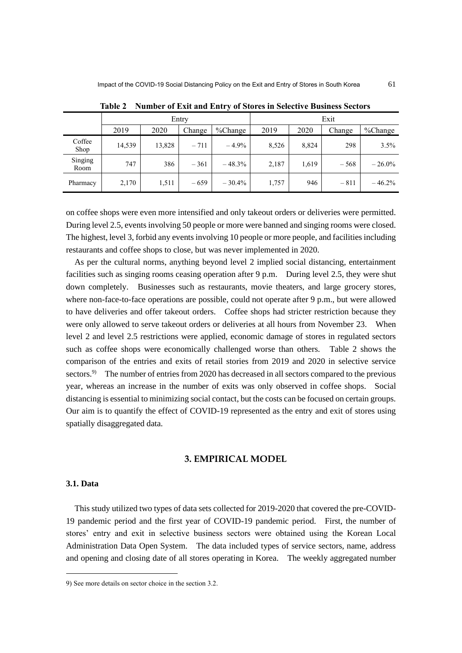|                 | Entry  |        |        | Exit     |       |       |        |           |
|-----------------|--------|--------|--------|----------|-------|-------|--------|-----------|
|                 | 2019   | 2020   | Change | %Change  | 2019  | 2020  | Change | %Change   |
| Coffee<br>Shop  | 14,539 | 13,828 | $-711$ | $-4.9%$  | 8,526 | 8,824 | 298    | 3.5%      |
| Singing<br>Room | 747    | 386    | $-361$ | $-48.3%$ | 2,187 | 1,619 | $-568$ | $-26.0\%$ |
| Pharmacy        | 2,170  | 1,511  | $-659$ | $-30.4%$ | 1,757 | 946   | $-811$ | $-46.2%$  |

**Table 2 Number of Exit and Entry of Stores in Selective Business Sectors**

on coffee shops were even more intensified and only takeout orders or deliveries were permitted. During level 2.5, events involving 50 people or more were banned and singing rooms were closed. The highest, level 3, forbid any events involving 10 people or more people, and facilities including restaurants and coffee shops to close, but was never implemented in 2020.

As per the cultural norms, anything beyond level 2 implied social distancing, entertainment facilities such as singing rooms ceasing operation after 9 p.m. During level 2.5, they were shut down completely. Businesses such as restaurants, movie theaters, and large grocery stores, where non-face-to-face operations are possible, could not operate after 9 p.m., but were allowed to have deliveries and offer takeout orders. Coffee shops had stricter restriction because they were only allowed to serve takeout orders or deliveries at all hours from November 23. When level 2 and level 2.5 restrictions were applied, economic damage of stores in regulated sectors such as coffee shops were economically challenged worse than others. Table 2 shows the comparison of the entries and exits of retail stories from 2019 and 2020 in selective service sectors.<sup>9)</sup> The number of entries from 2020 has decreased in all sectors compared to the previous year, whereas an increase in the number of exits was only observed in coffee shops. Social distancing is essential to minimizing social contact, but the costs can be focused on certain groups. Our aim is to quantify the effect of COVID-19 represented as the entry and exit of stores using spatially disaggregated data.

## **3. EMPIRICAL MODEL**

# **3.1. Data**

This study utilized two types of data sets collected for 2019-2020 that covered the pre-COVID-19 pandemic period and the first year of COVID-19 pandemic period. First, the number of stores' entry and exit in selective business sectors were obtained using the Korean Local Administration Data Open System. The data included types of service sectors, name, address and opening and closing date of all stores operating in Korea. The weekly aggregated number

<sup>9)</sup> See more details on sector choice in the section 3.2.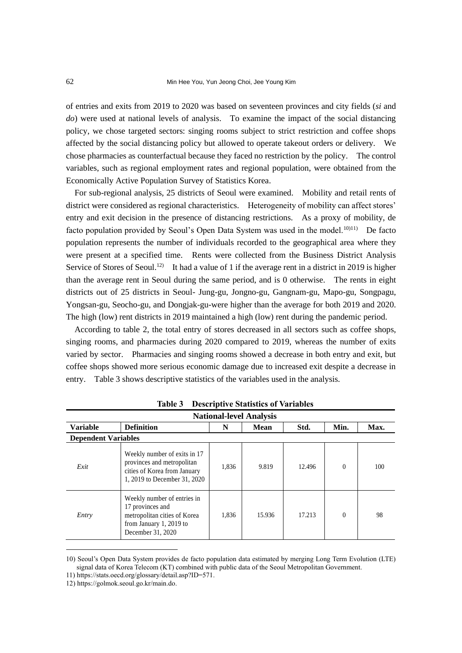of entries and exits from 2019 to 2020 was based on seventeen provinces and city fields (*si* and *do*) were used at national levels of analysis. To examine the impact of the social distancing policy, we chose targeted sectors: singing rooms subject to strict restriction and coffee shops affected by the social distancing policy but allowed to operate takeout orders or delivery. We chose pharmacies as counterfactual because they faced no restriction by the policy. The control variables, such as regional employment rates and regional population, were obtained from the Economically Active Population Survey of Statistics Korea.

For sub-regional analysis, 25 districts of Seoul were examined. Mobility and retail rents of district were considered as regional characteristics. Heterogeneity of mobility can affect stores' entry and exit decision in the presence of distancing restrictions. As a proxy of mobility, de facto population provided by Seoul's Open Data System was used in the model.<sup>10)11)</sup> De facto population represents the number of individuals recorded to the geographical area where they were present at a specified time. Rents were collected from the Business District Analysis Service of Stores of Seoul.<sup>12)</sup> It had a value of 1 if the average rent in a district in 2019 is higher than the average rent in Seoul during the same period, and is 0 otherwise. The rents in eight districts out of 25 districts in Seoul- Jung-gu, Jongno-gu, Gangnam-gu, Mapo-gu, Songpagu, Yongsan-gu, Seocho-gu, and Dongjak-gu-were higher than the average for both 2019 and 2020. The high (low) rent districts in 2019 maintained a high (low) rent during the pandemic period.

According to table 2, the total entry of stores decreased in all sectors such as coffee shops, singing rooms, and pharmacies during 2020 compared to 2019, whereas the number of exits varied by sector. Pharmacies and singing rooms showed a decrease in both entry and exit, but coffee shops showed more serious economic damage due to increased exit despite a decrease in entry. Table 3 shows descriptive statistics of the variables used in the analysis.

| <b>National-level Analysis</b> |                                                                                                                                 |       |        |        |          |      |  |  |
|--------------------------------|---------------------------------------------------------------------------------------------------------------------------------|-------|--------|--------|----------|------|--|--|
| <b>Variable</b>                | <b>Definition</b>                                                                                                               | N     | Mean   | Std.   | Min.     | Max. |  |  |
| <b>Dependent Variables</b>     |                                                                                                                                 |       |        |        |          |      |  |  |
| Exit                           | Weekly number of exits in 17<br>provinces and metropolitan<br>cities of Korea from January<br>1, 2019 to December 31, 2020      | 1,836 | 9.819  | 12.496 | $\Omega$ | 100  |  |  |
| Entry                          | Weekly number of entries in<br>17 provinces and<br>metropolitan cities of Korea<br>from January 1, 2019 to<br>December 31, 2020 | 1,836 | 15.936 | 17.213 | $\Omega$ | 98   |  |  |

**Table 3 Descriptive Statistics of Variables**

11) https://stats.oecd.org/glossary/detail.asp?ID=571.

<sup>10)</sup> Seoul's Open Data System provides de facto population data estimated by merging Long Term Evolution (LTE) signal data of Korea Telecom (KT) combined with public data of the Seoul Metropolitan Government.

<sup>12)</sup> https://golmok.seoul.go.kr/main.do.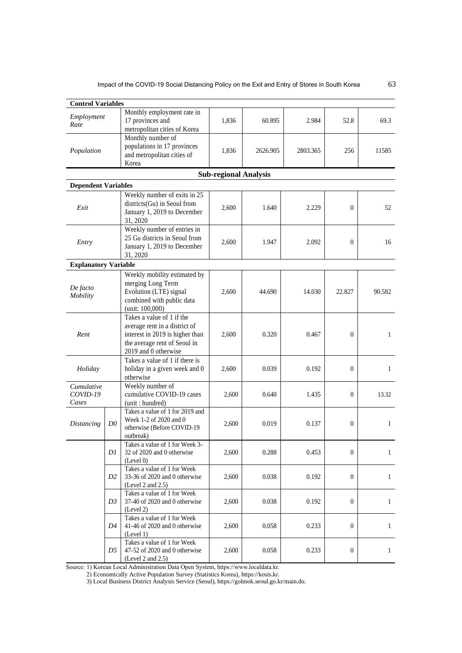| <b>Control Variables</b>    |                |                                                              |                              |          |          |              |              |  |  |  |
|-----------------------------|----------------|--------------------------------------------------------------|------------------------------|----------|----------|--------------|--------------|--|--|--|
| Employment                  |                | Monthly employment rate in                                   |                              |          |          |              |              |  |  |  |
| Rate                        |                | 17 provinces and                                             | 1,836                        | 60.895   | 2.984    | 52.8         | 69.3         |  |  |  |
|                             |                | metropolitan cities of Korea                                 |                              |          |          |              |              |  |  |  |
|                             |                | Monthly number of                                            |                              |          |          |              |              |  |  |  |
| Population                  |                | populations in 17 provinces                                  | 1,836                        | 2626.905 | 2803.365 | 256          | 11585        |  |  |  |
|                             |                | and metropolitan cities of                                   |                              |          |          |              |              |  |  |  |
|                             |                | Korea                                                        |                              |          |          |              |              |  |  |  |
|                             |                |                                                              | <b>Sub-regional Analysis</b> |          |          |              |              |  |  |  |
| <b>Dependent Variables</b>  |                |                                                              |                              |          |          |              |              |  |  |  |
|                             |                | Weekly number of exits in 25                                 |                              |          | 2.229    | $\theta$     | 52           |  |  |  |
| Exit                        |                | districts(Gu) in Seoul from                                  | 2,600                        | 1.640    |          |              |              |  |  |  |
|                             |                | January 1, 2019 to December                                  |                              |          |          |              |              |  |  |  |
|                             |                | 31, 2020                                                     |                              |          |          |              |              |  |  |  |
|                             |                | Weekly number of entries in                                  |                              |          |          |              |              |  |  |  |
| Entry                       |                | 25 Gu districts in Seoul from                                | 2,600                        | 1.947    | 2.092    | $\mathbf{0}$ | 16           |  |  |  |
|                             |                | January 1, 2019 to December                                  |                              |          |          |              |              |  |  |  |
|                             |                | 31, 2020                                                     |                              |          |          |              |              |  |  |  |
| <b>Explanatory Variable</b> |                |                                                              |                              |          |          |              |              |  |  |  |
|                             |                | Weekly mobility estimated by                                 |                              |          |          |              |              |  |  |  |
| De facto                    |                | merging Long Term                                            |                              | 44.690   | 14.030   | 22.827       | 90.582       |  |  |  |
| Mobility                    |                | Evolution (LTE) signal                                       | 2,600                        |          |          |              |              |  |  |  |
|                             |                | combined with public data                                    |                              |          |          |              |              |  |  |  |
|                             |                | (unit: 100,000)<br>Takes a value of 1 if the                 |                              |          |          |              |              |  |  |  |
|                             |                | average rent in a district of                                |                              |          |          |              |              |  |  |  |
| Rent                        |                | interest in 2019 is higher than                              | 2,600                        | 0.320    | 0.467    | $\mathbf{0}$ | $\mathbf{1}$ |  |  |  |
|                             |                | the average rent of Seoul in                                 |                              |          |          |              |              |  |  |  |
|                             |                | 2019 and 0 otherwise                                         |                              |          |          |              |              |  |  |  |
|                             |                | Takes a value of 1 if there is                               |                              |          |          |              |              |  |  |  |
| Holiday                     |                | holiday in a given week and 0                                | 2,600                        | 0.039    | 0.192    | $\mathbf{0}$ | $\mathbf{1}$ |  |  |  |
|                             |                | otherwise                                                    |                              |          |          |              |              |  |  |  |
| Cumulative                  |                | Weekly number of                                             |                              |          |          |              |              |  |  |  |
| COVID-19                    |                | cumulative COVID-19 cases                                    | 2,600                        | 0.640    | 1.435    | $\theta$     | 13.32        |  |  |  |
| Cases                       |                | (unit: hundred)                                              |                              |          |          |              |              |  |  |  |
|                             |                | Takes a value of 1 for 2019 and                              |                              |          |          |              | $\mathbf{1}$ |  |  |  |
| <b>Distancing</b>           | D <sub>0</sub> | Week 1-2 of 2020 and 0                                       | 2,600                        | 0.019    | 0.137    | $\theta$     |              |  |  |  |
|                             |                | otherwise (Before COVID-19                                   |                              |          |          |              |              |  |  |  |
|                             |                | outbreak)                                                    |                              |          |          |              |              |  |  |  |
|                             | DI             | Takes a value of 1 for Week 3-<br>32 of 2020 and 0 otherwise | 2,600                        | 0.288    |          | $\theta$     |              |  |  |  |
|                             |                | (Level 0)                                                    |                              |          | 0.453    |              | 1            |  |  |  |
|                             |                | Takes a value of 1 for Week                                  |                              |          |          |              |              |  |  |  |
|                             | D <sub>2</sub> | 33-36 of 2020 and 0 otherwise                                | 2.600                        | 0.038    | 0.192    | $\theta$     | $\mathbf{1}$ |  |  |  |
|                             |                | (Level 2 and $2.5$ )                                         |                              |          |          |              |              |  |  |  |
|                             |                | Takes a value of 1 for Week                                  |                              |          |          |              |              |  |  |  |
|                             | D3             | 37-40 of 2020 and 0 otherwise                                | 2.600                        | 0.038    | 0.192    | $\theta$     | $\mathbf{1}$ |  |  |  |
|                             |                | (Level 2)                                                    |                              |          |          |              |              |  |  |  |
|                             | D4             | Takes a value of 1 for Week<br>41-46 of 2020 and 0 otherwise | 2,600                        | 0.058    | 0.233    | $\theta$     | $\mathbf{1}$ |  |  |  |
|                             |                | (Level 1)                                                    |                              |          |          |              |              |  |  |  |
|                             |                | Takes a value of 1 for Week                                  |                              |          |          |              |              |  |  |  |
| D5                          |                | 47-52 of 2020 and 0 otherwise                                | 2,600                        | 0.058    | 0.233    | 0            | $\mathbf{1}$ |  |  |  |
|                             |                | (Level 2 and 2.5)                                            |                              |          |          |              |              |  |  |  |

Source: 1) Korean Local Administration Data Open System, https://www.localdata.kr.

2) Economically Active Population Survey (Statistics Korea), https://kosis.kr.

3) Local Business District Analysis Service (Seoul), https://golmok.seoul.go.kr/main.do.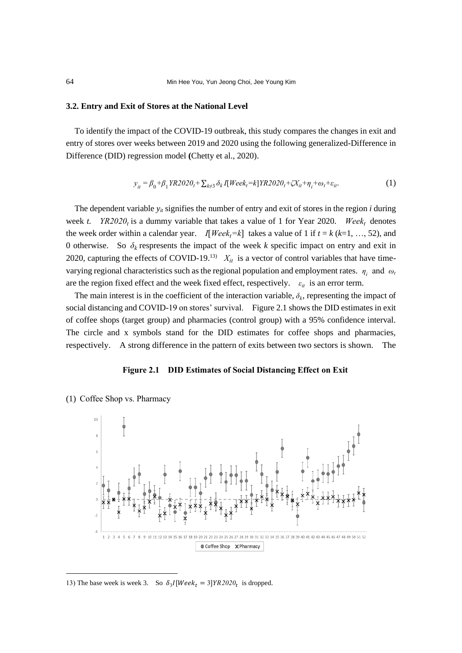#### **3.2. Entry and Exit of Stores at the National Level**

To identify the impact of the COVID-19 outbreak, this study compares the changes in exit and entry of stores over weeks between 2019 and 2020 using the following generalized-Difference in Difference (DID) regression model **(**Chetty et al., 2020).

$$
y_{it} = \beta_0 + \beta_1 Y R 2020_t + \sum_{k \neq 3} \delta_k I[Week_t = k] Y R 2020_t + \zeta X_{it} + \eta_i + \omega_t + \varepsilon_{it}.
$$
 (1)

The dependent variable  $y_i$  signifies the number of entry and exit of stores in the region *i* during week *t. YR2020*<sup>*t*</sup> is a dummy variable that takes a value of 1 for Year 2020. *Week*<sup>*t*</sup> denotes the week order within a calendar year. *I*[*Week*<sub>*t*</sub>=k] takes a value of 1 if  $t = k$  ( $k=1, ..., 52$ ), and 0 otherwise. So  $\delta_k$  respresents the impact of the week *k* specific impact on entry and exit in 2020, capturing the effects of COVID-19.<sup>13)</sup>  $X_{it}$  is a vector of control variables that have timevarying regional characteristics such as the regional population and employment rates.  $\eta_i$  and  $\omega_i$ are the region fixed effect and the week fixed effect, respectively.  $\varepsilon_{it}$  is an error term.

The main interest is in the coefficient of the interaction variable,  $\delta_k$ , representing the impact of social distancing and COVID-19 on stores' survival. Figure 2.1 shows the DID estimates in exit of coffee shops (target group) and pharmacies (control group) with a 95% confidence interval. The circle and x symbols stand for the DID estimates for coffee shops and pharmacies, respectively. A strong difference in the pattern of exits between two sectors is shown. The

#### **Figure 2.1 DID Estimates of Social Distancing Effect on Exit**



(1) Coffee Shop vs. Pharmacy

<sup>13)</sup> The base week is week 3. So  $\delta_3 I[Week_t = 3]YR2020_t$  is dropped.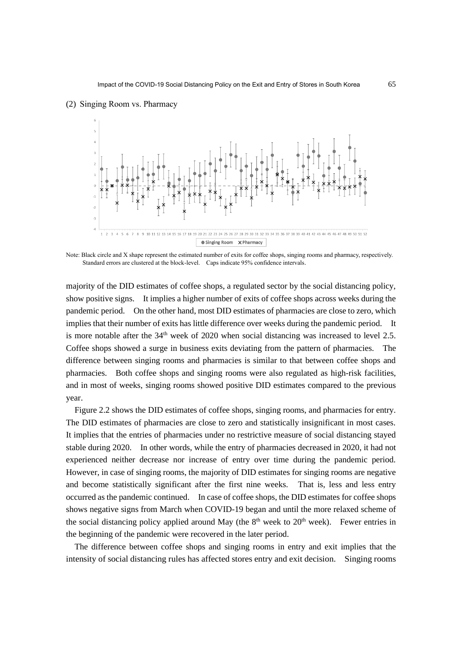

#### (2) Singing Room vs. Pharmacy

Note: Black circle and X shape represent the estimated number of exits for coffee shops, singing rooms and pharmacy, respectively. Standard errors are clustered at the block-level. Caps indicate 95% confidence intervals.

majority of the DID estimates of coffee shops, a regulated sector by the social distancing policy, show positive signs. It implies a higher number of exits of coffee shops across weeks during the pandemic period. On the other hand, most DID estimates of pharmacies are close to zero, which implies that their number of exits has little difference over weeks during the pandemic period. It is more notable after the  $34<sup>th</sup>$  week of 2020 when social distancing was increased to level 2.5. Coffee shops showed a surge in business exits deviating from the pattern of pharmacies. The difference between singing rooms and pharmacies is similar to that between coffee shops and pharmacies. Both coffee shops and singing rooms were also regulated as high-risk facilities, and in most of weeks, singing rooms showed positive DID estimates compared to the previous year.

Figure 2.2 shows the DID estimates of coffee shops, singing rooms, and pharmacies for entry. The DID estimates of pharmacies are close to zero and statistically insignificant in most cases. It implies that the entries of pharmacies under no restrictive measure of social distancing stayed stable during 2020. In other words, while the entry of pharmacies decreased in 2020, it had not experienced neither decrease nor increase of entry over time during the pandemic period. However, in case of singing rooms, the majority of DID estimates for singing rooms are negative and become statistically significant after the first nine weeks. That is, less and less entry occurred as the pandemic continued. In case of coffee shops, the DID estimates for coffee shops shows negative signs from March when COVID-19 began and until the more relaxed scheme of the social distancing policy applied around May (the  $8<sup>th</sup>$  week to  $20<sup>th</sup>$  week). Fewer entries in the beginning of the pandemic were recovered in the later period.

The difference between coffee shops and singing rooms in entry and exit implies that the intensity of social distancing rules has affected stores entry and exit decision. Singing rooms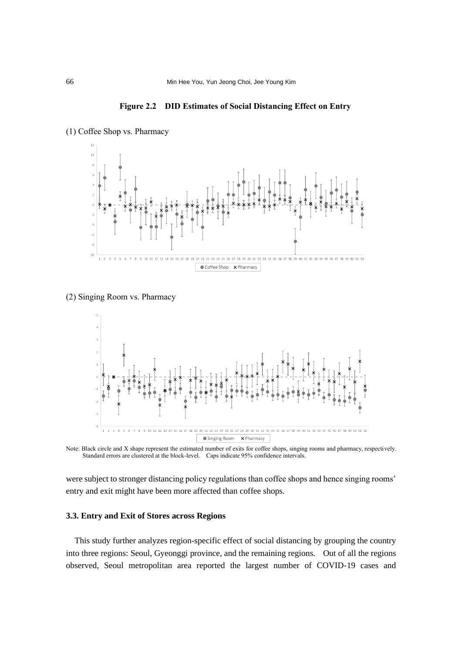**Figure 2.2 DID Estimates of Social Distancing Effect on Entry**





(2) Singing Room vs. Pharmacy



Note: Black circle and X shape represent the estimated number of exits for coffee shops, singing rooms and pharmacy, respectively. Standard errors are clustered at the block-level. Caps indicate 95% confidence intervals.

were subject to stronger distancing policy regulations than coffee shops and hence singing rooms' entry and exit might have been more affected than coffee shops.

# **3.3. Entry and Exit of Stores across Regions**

This study further analyzes region-specific effect of social distancing by grouping the country into three regions: Seoul, Gyeonggi province, and the remaining regions. Out of all the regions observed, Seoul metropolitan area reported the largest number of COVID-19 cases and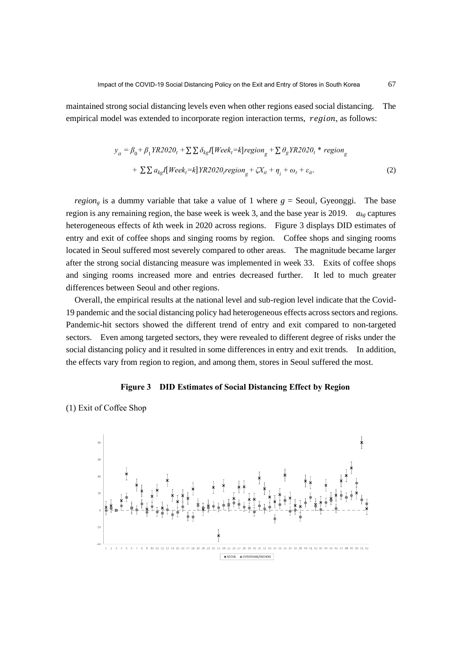maintained strong social distancing levels even when other regions eased social distancing. The empirical model was extended to incorporate region interaction terms, region, as follows:

$$
y_{it} = \beta_0 + \beta_1 YR2020_t + \sum \sum \delta_{kg}I[Week_i=k]region_g + \sum \theta_g YR2020_t * region_g
$$
  
+ 
$$
\sum \sum a_{kg}I[Week_i=k]YR2020_t region_g + \zeta X_{it} + \eta_i + \omega_t + \varepsilon_{it}.
$$
 (2)

*region<sub>g</sub>* is a dummy variable that take a value of 1 where  $g =$  Seoul, Gyeonggi. The base region is any remaining region, the base week is week 3, and the base year is 2019. *akg* captures heterogeneous effects of *k*th week in 2020 across regions. Figure 3 displays DID estimates of entry and exit of coffee shops and singing rooms by region. Coffee shops and singing rooms located in Seoul suffered most severely compared to other areas. The magnitude became larger after the strong social distancing measure was implemented in week 33. Exits of coffee shops and singing rooms increased more and entries decreased further. It led to much greater differences between Seoul and other regions.

Overall, the empirical results at the national level and sub-region level indicate that the Covid-19 pandemic and the social distancing policy had heterogeneous effects across sectors and regions. Pandemic-hit sectors showed the different trend of entry and exit compared to non-targeted sectors. Even among targeted sectors, they were revealed to different degree of risks under the social distancing policy and it resulted in some differences in entry and exit trends. In addition, the effects vary from region to region, and among them, stores in Seoul suffered the most.

#### **Figure 3 DID Estimates of Social Distancing Effect by Region**

(1) Exit of Coffee Shop

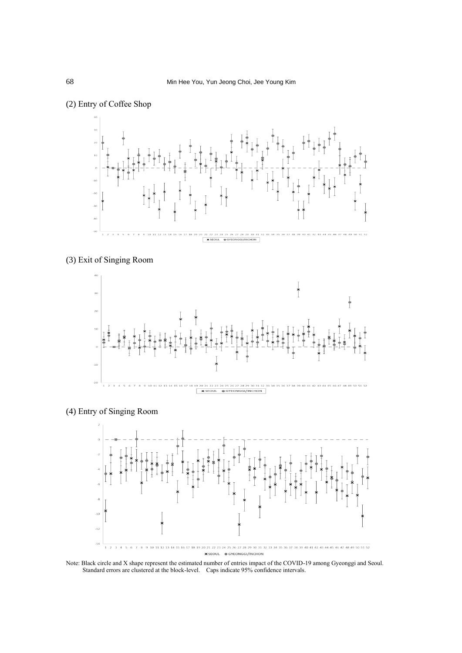

# (2) Entry of Coffee Shop





# (4) Entry of Singing Room



Note: Black circle and X shape represent the estimated number of entries impact of the COVID-19 among Gyeonggi and Seoul. Standard errors are clustered at the block-level. Caps indicate 95% confidence intervals.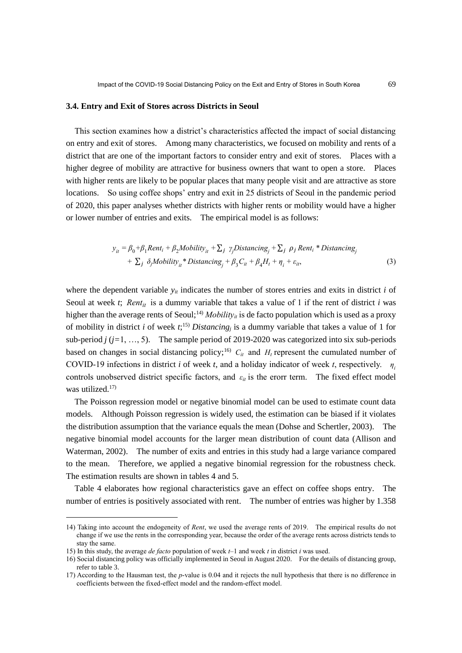#### **3.4. Entry and Exit of Stores across Districts in Seoul**

This section examines how a district's characteristics affected the impact of social distancing on entry and exit of stores. Among many characteristics, we focused on mobility and rents of a district that are one of the important factors to consider entry and exit of stores. Places with a higher degree of mobility are attractive for business owners that want to open a store. Places with higher rents are likely to be popular places that many people visit and are attractive as store locations. So using coffee shops' entry and exit in 25 districts of Seoul in the pandemic period of 2020, this paper analyses whether districts with higher rents or mobility would have a higher or lower number of entries and exits. The empirical model is as follows:

$$
y_{it} = \beta_0 + \beta_1 Rent_i + \beta_2 M obility_{it} + \sum_j \gamma_j Distancing_j + \sum_j \rho_j Rent_i * Distancing_j
$$
  
+ 
$$
\sum_j \delta_j M obility_{it} * Distancing_j + \beta_3 C_{it} + \beta_4 H_t + \eta_i + \varepsilon_{it},
$$
 (3)

where the dependent variable  $y_{it}$  indicates the number of stores entries and exits in district  $i$  of Seoul at week *t*; *Rent<sub>it</sub>* is a dummy variable that takes a value of 1 if the rent of district *i* was higher than the average rents of Seoul;<sup>14)</sup> *Mobility<sub>it</sub>* is de facto population which is used as a proxy of mobility in district *i* of week  $t$ ;<sup>15)</sup> *Distancing<sub>i</sub>* is a dummy variable that takes a value of 1 for sub-period  $j$  ( $j=1, ..., 5$ ). The sample period of 2019-2020 was categorized into six sub-periods based on changes in social distancing policy;<sup>16)</sup>  $C_i$  and  $H_t$  represent the cumulated number of COVID-19 infections in district *i* of week *t*, and a holiday indicator of week *t*, respectively.  $\eta_i$ controls unobserved district specific factors, and  $\varepsilon_{it}$  is the erorr term. The fixed effect model was utilized. $17$ 

The Poisson regression model or negative binomial model can be used to estimate count data models. Although Poisson regression is widely used, the estimation can be biased if it violates the distribution assumption that the variance equals the mean (Dohse and Schertler, 2003). The negative binomial model accounts for the larger mean distribution of count data (Allison and Waterman, 2002). The number of exits and entries in this study had a large variance compared to the mean. Therefore, we applied a negative binomial regression for the robustness check. The estimation results are shown in tables 4 and 5.

Table 4 elaborates how regional characteristics gave an effect on coffee shops entry. The number of entries is positively associated with rent. The number of entries was higher by 1.358

<sup>14)</sup> Taking into account the endogeneity of *Rent*, we used the average rents of 2019. The empirical results do not change if we use the rents in the corresponding year, because the order of the average rents across districts tends to stay the same.

<sup>15)</sup> In this study, the average *de facto* population of week *t–*1 and week *t* in district *i* was used.

<sup>16)</sup> Social distancing policy was officially implemented in Seoul in August 2020. For the details of distancing group, refer to table 3.

<sup>17)</sup> According to the Hausman test, the *p*-value is 0.04 and it rejects the null hypothesis that there is no difference in coefficients between the fixed-effect model and the random-effect model.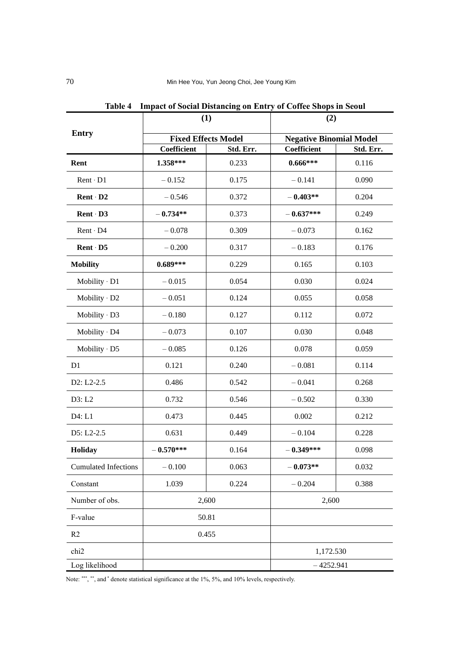|                             | (1)                        |           | (2)<br><b>Negative Binomial Model</b> |           |  |
|-----------------------------|----------------------------|-----------|---------------------------------------|-----------|--|
| <b>Entry</b>                | <b>Fixed Effects Model</b> |           |                                       |           |  |
|                             | Coefficient                | Std. Err. | Coefficient                           | Std. Err. |  |
| Rent                        | 1.358***                   | 0.233     | $0.666***$                            | 0.116     |  |
| $Rent \cdot D1$             | $-0.152$                   | 0.175     | $-0.141$                              | 0.090     |  |
| Rent D2                     | $-0.546$                   | 0.372     | $-0.403**$                            | 0.204     |  |
| Rent D3                     | $-0.734**$                 | 0.373     | $-0.637***$                           | 0.249     |  |
| Rent · D4                   | $-0.078$                   | 0.309     | $-0.073$                              | 0.162     |  |
| Rent D5                     | $-0.200$                   | 0.317     | $-0.183$                              | 0.176     |  |
| <b>Mobility</b>             | $0.689***$                 | 0.229     | 0.165                                 | 0.103     |  |
| $M$ obility $\cdot$ D1      | $-0.015$                   | 0.054     | 0.030                                 | 0.024     |  |
| Mobility · D2               | $-0.051$                   | 0.124     | 0.055                                 | 0.058     |  |
| Mobility · D3               | $-0.180$                   | 0.127     | 0.112                                 | 0.072     |  |
| Mobility · D4               | $-0.073$                   | 0.107     | 0.030                                 | 0.048     |  |
| Mobility $\cdot$ D5         | $-0.085$                   | 0.126     | 0.078                                 | 0.059     |  |
| D1                          | 0.121                      | 0.240     | $-0.081$                              | 0.114     |  |
| $D2: L2-2.5$                | 0.486                      | 0.542     | $-0.041$                              | 0.268     |  |
| D3: L2                      | 0.732                      | 0.546     | $-0.502$                              | 0.330     |  |
| D4: L1                      | 0.473                      | 0.445     | 0.002                                 | 0.212     |  |
| D5: L2-2.5                  | 0.631                      | 0.449     | $-0.104$                              | 0.228     |  |
| Holiday                     | $-0.570***$                | 0.164     | $-0.349***$                           | 0.098     |  |
| <b>Cumulated Infections</b> | $-0.100$                   | 0.063     | $-0.073**$                            | 0.032     |  |
| Constant                    | 1.039                      | 0.224     | $-0.204$                              | 0.388     |  |
| Number of obs.              | 2,600                      |           | 2,600                                 |           |  |
| F-value                     | 50.81                      |           |                                       |           |  |
| R2                          | 0.455                      |           |                                       |           |  |
| chi2                        |                            |           | 1,172.530                             |           |  |
| Log likelihood              |                            |           | $-4252.941$                           |           |  |

**Table 4 Impact of Social Distancing on Entry of Coffee Shops in Seoul**

Note: \*\*\*, \*\*, and \* denote statistical significance at the 1%, 5%, and 10% levels, respectively.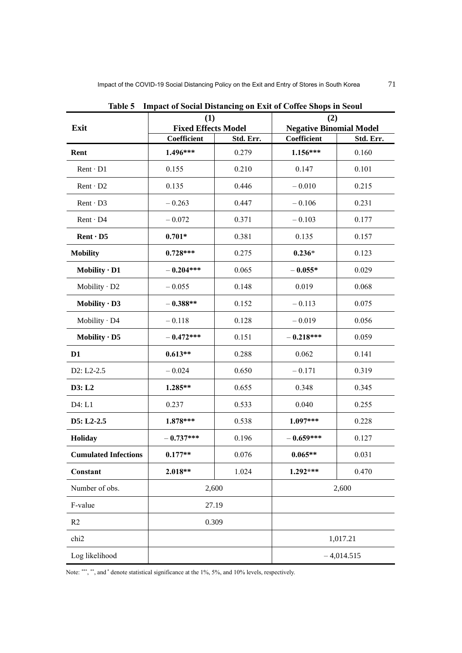|                             | (1)                                                    |       | (2)                                           |           |  |
|-----------------------------|--------------------------------------------------------|-------|-----------------------------------------------|-----------|--|
| Exit                        | <b>Fixed Effects Model</b><br>Coefficient<br>Std. Err. |       | <b>Negative Binomial Model</b><br>Coefficient | Std. Err. |  |
| Rent                        | 1.496***                                               | 0.279 | 1.156***                                      | 0.160     |  |
| $Rent \cdot D1$             | 0.155                                                  | 0.210 | 0.147                                         | 0.101     |  |
| $Rent \cdot D2$             | 0.135                                                  | 0.446 | $-0.010$                                      | 0.215     |  |
| $Rent \cdot D3$             | $-0.263$                                               | 0.447 | $-0.106$                                      | 0.231     |  |
| $Rent \cdot D4$             | $-0.072$                                               | 0.371 | $-0.103$                                      | 0.177     |  |
| $Rent \cdot D5$             | $0.701*$                                               | 0.381 | 0.135                                         | 0.157     |  |
| <b>Mobility</b>             | $0.728***$                                             | 0.275 | $0.236*$                                      | 0.123     |  |
| Mobility $\cdot$ D1         | $-0.204***$                                            | 0.065 | $-0.055*$                                     | 0.029     |  |
| Mobility $\cdot$ D2         | $-0.055$                                               | 0.148 | 0.019                                         | 0.068     |  |
| Mobility $\cdot$ D3         | $-0.388**$                                             | 0.152 | $-0.113$                                      | 0.075     |  |
| Mobility · D4               | $-0.118$                                               | 0.128 | $-0.019$                                      | 0.056     |  |
| Mobility $\cdot$ D5         | $-0.472***$                                            | 0.151 | $-0.218***$                                   | 0.059     |  |
| D <sub>1</sub>              | $0.613**$                                              | 0.288 | 0.062                                         | 0.141     |  |
| D2: L2-2.5                  | $-0.024$                                               | 0.650 | $-0.171$                                      | 0.319     |  |
| D3: L2                      | 1.285**                                                | 0.655 | 0.348                                         | 0.345     |  |
| D4: L1                      | 0.237                                                  | 0.533 | 0.040                                         | 0.255     |  |
| D5: L2-2.5                  | $1.878***$                                             | 0.538 | 1.097***                                      | 0.228     |  |
| Holiday                     | $-0.737***$                                            | 0.196 | $-0.659***$                                   | 0.127     |  |
| <b>Cumulated Infections</b> | $0.177**$                                              | 0.076 | $0.065**$                                     | 0.031     |  |
| Constant                    | 2.018**                                                | 1.024 | $1.292***$                                    | 0.470     |  |
| Number of obs.              | 2,600                                                  |       | 2,600                                         |           |  |
| F-value                     |                                                        | 27.19 |                                               |           |  |
| R <sub>2</sub>              |                                                        | 0.309 |                                               |           |  |
| chi <sub>2</sub>            |                                                        |       | 1,017.21                                      |           |  |
| Log likelihood              |                                                        |       | $-4,014.515$                                  |           |  |

**Table 5 Impact of Social Distancing on Exit of Coffee Shops in Seoul**

Note: \*\*\*, \*\*, and \* denote statistical significance at the 1%, 5%, and 10% levels, respectively.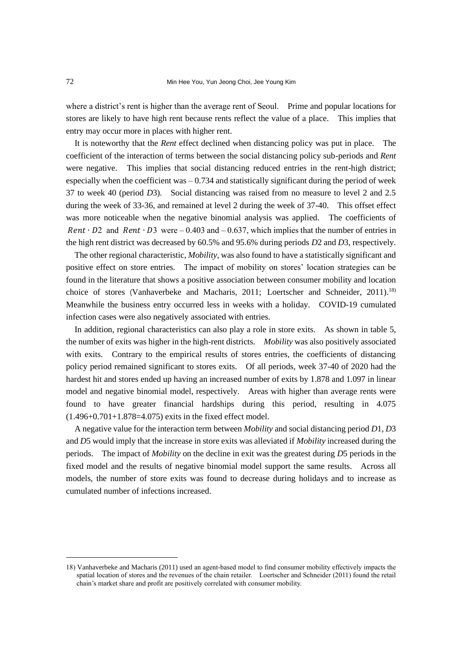where a district's rent is higher than the average rent of Seoul. Prime and popular locations for stores are likely to have high rent because rents reflect the value of a place. This implies that entry may occur more in places with higher rent.

It is noteworthy that the *Rent* effect declined when distancing policy was put in place. The coefficient of the interaction of terms between the social distancing policy sub-periods and *Rent* were negative. This implies that social distancing reduced entries in the rent-high district; especially when the coefficient was  $-0.734$  and statistically significant during the period of week 37 to week 40 (period *D*3). Social distancing was raised from no measure to level 2 and 2.5 during the week of 33-36, and remained at level 2 during the week of 37-40. This offset effect was more noticeable when the negative binomial analysis was applied. The coefficients of Rent  $\cdot$  D2 and Rent  $\cdot$  D3 were – 0.403 and – 0.637, which implies that the number of entries in the high rent district was decreased by 60.5% and 95.6% during periods *D*2 and *D*3, respectively.

The other regional characteristic, *Mobility*, was also found to have a statistically significant and positive effect on store entries. The impact of mobility on stores' location strategies can be found in the literature that shows a positive association between consumer mobility and location choice of stores (Vanhaverbeke and Macharis, 2011; Loertscher and Schneider, 2011).<sup>18)</sup> Meanwhile the business entry occurred less in weeks with a holiday. COVID-19 cumulated infection cases were also negatively associated with entries.

In addition, regional characteristics can also play a role in store exits. As shown in table 5, the number of exits was higher in the high-rent districts. *Mobility* was also positively associated with exits. Contrary to the empirical results of stores entries, the coefficients of distancing policy period remained significant to stores exits. Of all periods, week 37-40 of 2020 had the hardest hit and stores ended up having an increased number of exits by 1.878 and 1.097 in linear model and negative binomial model, respectively. Areas with higher than average rents were found to have greater financial hardships during this period, resulting in 4.075 (1.496+0.701+1.878=4.075) exits in the fixed effect model.

A negative value for the interaction term between *Mobility* and social distancing period *D*1*, D*3 and *D*5 would imply that the increase in store exits was alleviated if *Mobility* increased during the periods. The impact of *Mobility* on the decline in exit was the greatest during *D*5 periods in the fixed model and the results of negative binomial model support the same results. Across all models, the number of store exits was found to decrease during holidays and to increase as cumulated number of infections increased.

<sup>18)</sup> Vanhaverbeke and Macharis (2011) used an agent-based model to find consumer mobility effectively impacts the spatial location of stores and the revenues of the chain retailer. Loertscher and Schneider (2011) found the retail chain's market share and profit are positively correlated with consumer mobility.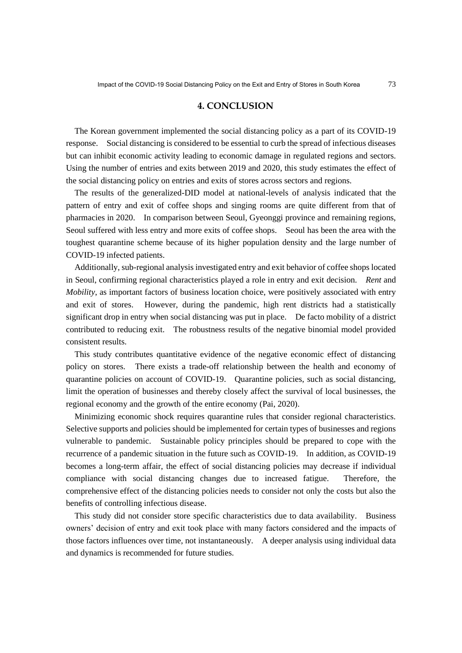#### **4. CONCLUSION**

The Korean government implemented the social distancing policy as a part of its COVID-19 response. Social distancing is considered to be essential to curb the spread of infectious diseases but can inhibit economic activity leading to economic damage in regulated regions and sectors. Using the number of entries and exits between 2019 and 2020, this study estimates the effect of the social distancing policy on entries and exits of stores across sectors and regions.

The results of the generalized-DID model at national-levels of analysis indicated that the pattern of entry and exit of coffee shops and singing rooms are quite different from that of pharmacies in 2020. In comparison between Seoul, Gyeonggi province and remaining regions, Seoul suffered with less entry and more exits of coffee shops. Seoul has been the area with the toughest quarantine scheme because of its higher population density and the large number of COVID-19 infected patients.

Additionally, sub-regional analysis investigated entry and exit behavior of coffee shops located in Seoul, confirming regional characteristics played a role in entry and exit decision. *Rent* and *Mobility*, as important factors of business location choice, were positively associated with entry and exit of stores. However, during the pandemic, high rent districts had a statistically significant drop in entry when social distancing was put in place. De facto mobility of a district contributed to reducing exit. The robustness results of the negative binomial model provided consistent results.

This study contributes quantitative evidence of the negative economic effect of distancing policy on stores. There exists a trade-off relationship between the health and economy of quarantine policies on account of COVID-19. Quarantine policies, such as social distancing, limit the operation of businesses and thereby closely affect the survival of local businesses, the regional economy and the growth of the entire economy (Pai, 2020).

Minimizing economic shock requires quarantine rules that consider regional characteristics. Selective supports and policies should be implemented for certain types of businesses and regions vulnerable to pandemic. Sustainable policy principles should be prepared to cope with the recurrence of a pandemic situation in the future such as COVID-19. In addition, as COVID-19 becomes a long-term affair, the effect of social distancing policies may decrease if individual compliance with social distancing changes due to increased fatigue. Therefore, the comprehensive effect of the distancing policies needs to consider not only the costs but also the benefits of controlling infectious disease.

This study did not consider store specific characteristics due to data availability. Business owners' decision of entry and exit took place with many factors considered and the impacts of those factors influences over time, not instantaneously. A deeper analysis using individual data and dynamics is recommended for future studies.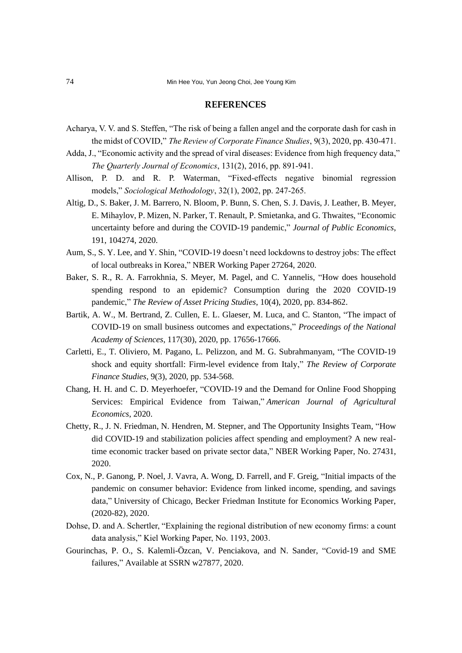#### **REFERENCES**

- Acharya, V. V. and S. Steffen, "The risk of being a fallen angel and the corporate dash for cash in the midst of COVID," *The Review of Corporate Finance Studies*, 9(3), 2020, pp. 430-471.
- Adda, J., "Economic activity and the spread of viral diseases: Evidence from high frequency data," *The Quarterly Journal of Economics*, 131(2), 2016, pp. 891-941.
- Allison, P. D. and R. P. Waterman, "Fixed-effects negative binomial regression models," *Sociological Methodology*, 32(1), 2002, pp. 247-265.
- Altig, D., S. Baker, J. M. Barrero, N. Bloom, P. Bunn, S. Chen, S. J. Davis, J. Leather, B. Meyer, E. Mihaylov, P. Mizen, N. Parker, T. Renault, P. Smietanka, and G. Thwaites, "Economic uncertainty before and during the COVID-19 pandemic," *Journal of Public Economics*, 191, 104274, 2020.
- Aum, S., S. Y. Lee, and Y. Shin, "COVID-19 doesn't need lockdowns to destroy jobs: The effect of local outbreaks in Korea," NBER Working Paper 27264, 2020.
- Baker, S. R., R. A. Farrokhnia, S. Meyer, M. Pagel, and C. Yannelis, "How does household spending respond to an epidemic? Consumption during the 2020 COVID-19 pandemic," *The Review of Asset Pricing Studies*, 10(4), 2020, pp. 834-862.
- Bartik, A. W., M. Bertrand, Z. Cullen, E. L. Glaeser, M. Luca, and C. Stanton, "The impact of COVID-19 on small business outcomes and expectations," *Proceedings of the National Academy of Sciences*, 117(30), 2020, pp. 17656-17666.
- Carletti, E., T. Oliviero, M. Pagano, L. Pelizzon, and M. G. Subrahmanyam, "The COVID-19 shock and equity shortfall: Firm-level evidence from Italy," *The Review of Corporate Finance Studies*, 9(3), 2020, pp. 534-568.
- Chang, H. H. and C. D. Meyerhoefer, "COVID‐19 and the Demand for Online Food Shopping Services: Empirical Evidence from Taiwan," *American Journal of Agricultural Economics*, 2020.
- Chetty, R., J. N. Friedman, N. Hendren, M. Stepner, and The Opportunity Insights Team, "How did COVID-19 and stabilization policies affect spending and employment? A new realtime economic tracker based on private sector data," NBER Working Paper, No. 27431, 2020.
- Cox, N., P. Ganong, P. Noel, J. Vavra, A. Wong, D. Farrell, and F. Greig, "Initial impacts of the pandemic on consumer behavior: Evidence from linked income, spending, and savings data," University of Chicago, Becker Friedman Institute for Economics Working Paper, (2020-82), 2020.
- Dohse, D. and A. Schertler, "Explaining the regional distribution of new economy firms: a count data analysis," Kiel Working Paper, No. 1193, 2003.
- Gourinchas, P. O., S. Kalemli-Özcan, V. Penciakova, and N. Sander, "Covid-19 and SME failures," Available at SSRN w27877, 2020.